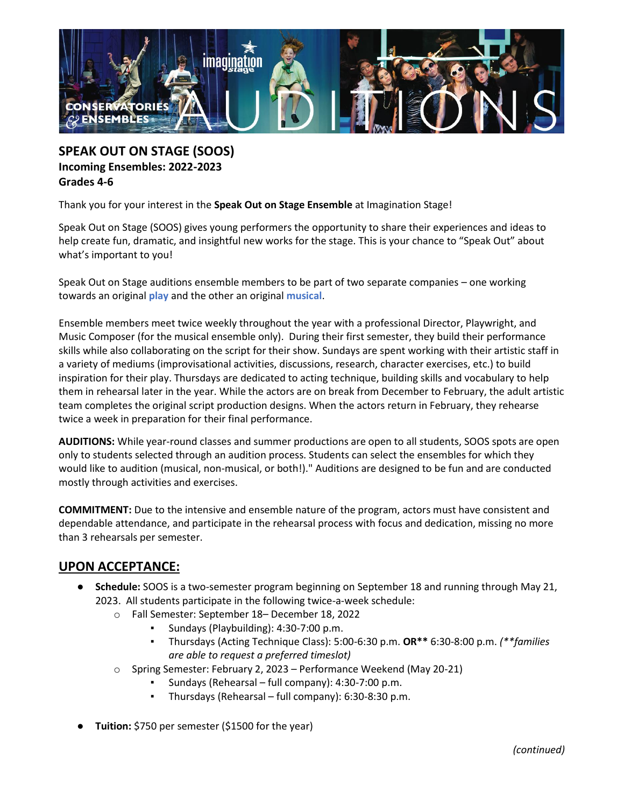

**SPEAK OUT ON STAGE (SOOS) Incoming Ensembles: 2022-2023 Grades 4-6**

Thank you for your interest in the **Speak Out on Stage Ensemble** at Imagination Stage!

Speak Out on Stage (SOOS) gives young performers the opportunity to share their experiences and ideas to help create fun, dramatic, and insightful new works for the stage. This is your chance to "Speak Out" about what's important to you!

Speak Out on Stage auditions ensemble members to be part of two separate companies – one working towards an original **play** and the other an original **musical**.

Ensemble members meet twice weekly throughout the year with a professional Director, Playwright, and Music Composer (for the musical ensemble only). During their first semester, they build their performance skills while also collaborating on the script for their show. Sundays are spent working with their artistic staff in a variety of mediums (improvisational activities, discussions, research, character exercises, etc.) to build inspiration for their play. Thursdays are dedicated to acting technique, building skills and vocabulary to help them in rehearsal later in the year. While the actors are on break from December to February, the adult artistic team completes the original script production designs. When the actors return in February, they rehearse twice a week in preparation for their final performance.

**AUDITIONS:** While year-round classes and summer productions are open to all students, SOOS spots are open only to students selected through an audition process. Students can select the ensembles for which they would like to audition (musical, non-musical, or both!)." Auditions are designed to be fun and are conducted mostly through activities and exercises.

**COMMITMENT:** Due to the intensive and ensemble nature of the program, actors must have consistent and dependable attendance, and participate in the rehearsal process with focus and dedication, missing no more than 3 rehearsals per semester.

## **UPON ACCEPTANCE:**

- **Schedule:** SOOS is a two-semester program beginning on September 18 and running through May 21, 2023. All students participate in the following twice-a-week schedule:
	- o Fall Semester: September 18– December 18, 2022
		- Sundays (Playbuilding): 4:30-7:00 p.m.
		- Thursdays (Acting Technique Class): 5:00-6:30 p.m. **OR\*\*** 6:30-8:00 p.m. *(\*\*families are able to request a preferred timeslot)*
	- o Spring Semester: February 2, 2023 Performance Weekend (May 20-21)
		- Sundays (Rehearsal full company): 4:30-7:00 p.m.
		- Thursdays (Rehearsal full company):  $6:30-8:30$  p.m.
- **Tuition:** \$750 per semester (\$1500 for the year)